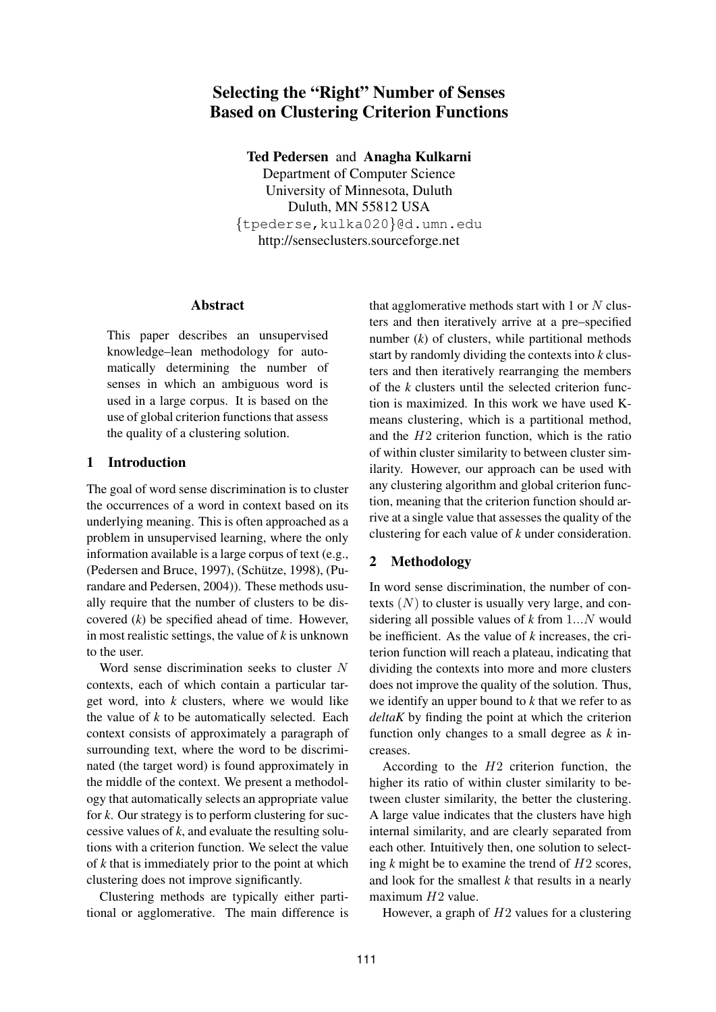# **Selecting the "Right" Number of Senses Based on Clustering Criterion Functions**

**Ted Pedersen** and **Anagha Kulkarni**

Department of Computer Science University of Minnesota, Duluth Duluth, MN 55812 USA {tpederse,kulka020}@d.umn.edu http://senseclusters.sourceforge.net

#### **Abstract**

This paper describes an unsupervised knowledge–lean methodology for automatically determining the number of senses in which an ambiguous word is used in a large corpus. It is based on the use of global criterion functions that assess the quality of a clustering solution.

## **1 Introduction**

The goal of word sense discrimination is to cluster the occurrences of a word in context based on its underlying meaning. This is often approached as a problem in unsupervised learning, where the only information available is a large corpus of text (e.g., (Pedersen and Bruce, 1997), (Schütze, 1998), (Purandare and Pedersen, 2004)). These methods usually require that the number of clusters to be discovered (*k*) be specified ahead of time. However, in most realistic settings, the value of *k* is unknown to the user.

Word sense discrimination seeks to cluster N contexts, each of which contain a particular target word, into *k* clusters, where we would like the value of *k* to be automatically selected. Each context consists of approximately a paragraph of surrounding text, where the word to be discriminated (the target word) is found approximately in the middle of the context. We present a methodology that automatically selects an appropriate value for *k*. Our strategy is to perform clustering for successive values of *k*, and evaluate the resulting solutions with a criterion function. We select the value of *k* that is immediately prior to the point at which clustering does not improve significantly.

Clustering methods are typically either partitional or agglomerative. The main difference is that agglomerative methods start with 1 or  $N$  clusters and then iteratively arrive at a pre–specified number  $(k)$  of clusters, while partitional methods start by randomly dividing the contexts into *k* clusters and then iteratively rearranging the members of the *k* clusters until the selected criterion function is maximized. In this work we have used Kmeans clustering, which is a partitional method, and the  $H2$  criterion function, which is the ratio of within cluster similarity to between cluster similarity. However, our approach can be used with any clustering algorithm and global criterion function, meaning that the criterion function should arrive at a single value that assesses the quality of the clustering for each value of *k* under consideration.

## **2 Methodology**

In word sense discrimination, the number of contexts  $(N)$  to cluster is usually very large, and considering all possible values of *k* from 1...N would be inefficient. As the value of *k* increases, the criterion function will reach a plateau, indicating that dividing the contexts into more and more clusters does not improve the quality of the solution. Thus, we identify an upper bound to *k* that we refer to as *deltaK* by finding the point at which the criterion function only changes to a small degree as *k* increases.

According to the H2 criterion function, the higher its ratio of within cluster similarity to between cluster similarity, the better the clustering. A large value indicates that the clusters have high internal similarity, and are clearly separated from each other. Intuitively then, one solution to selecting *k* might be to examine the trend of H2 scores, and look for the smallest *k* that results in a nearly maximum  $H2$  value.

However, a graph of  $H2$  values for a clustering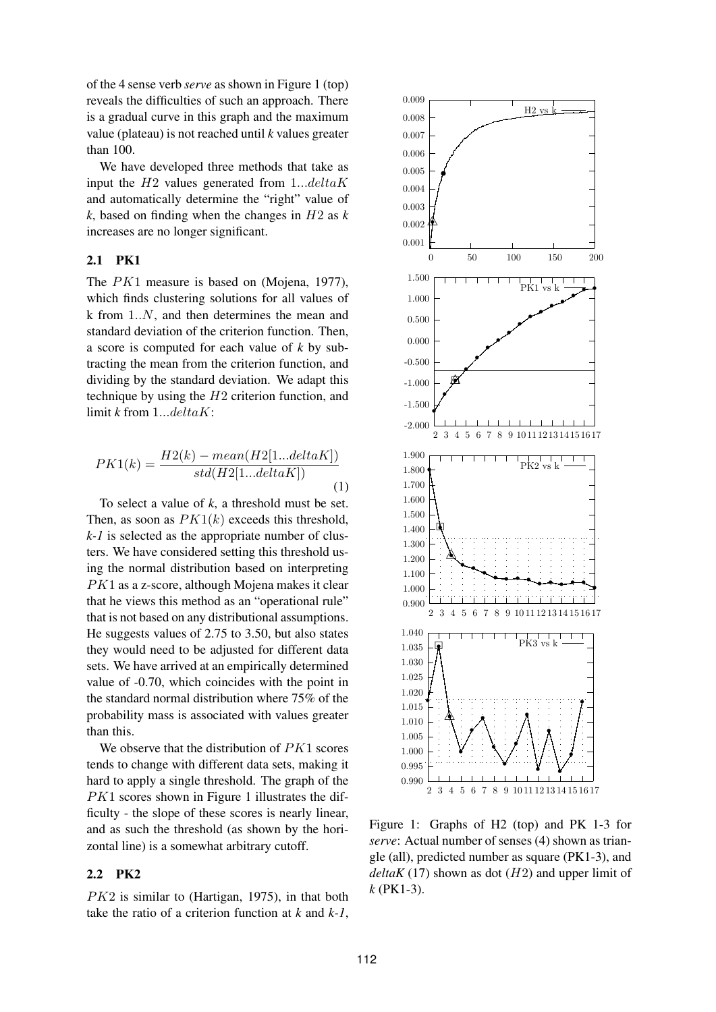of the 4 sense verb *serve* as shown in Figure 1 (top) reveals the difficulties of such an approach. There is a gradual curve in this graph and the maximum value (plateau) is not reached until *k* values greater than 100.

We have developed three methods that take as input the  $H2$  values generated from  $1...delta K$ and automatically determine the "right" value of *k*, based on finding when the changes in H2 as *k* increases are no longer significant.

#### **2.1 PK1**

The PK1 measure is based on (Mojena, 1977), which finds clustering solutions for all values of k from 1..N, and then determines the mean and standard deviation of the criterion function. Then, a score is computed for each value of *k* by subtracting the mean from the criterion function, and dividing by the standard deviation. We adapt this technique by using the  $H2$  criterion function, and limit *k* from 1...deltaK:

$$
PK1(k) = \frac{H2(k) - mean(H2[1...deltaK])}{std(H2[1...deltaK])}
$$
\n(1)

To select a value of *k*, a threshold must be set. Then, as soon as  $PK1(k)$  exceeds this threshold, *k-1* is selected as the appropriate number of clusters. We have considered setting this threshold using the normal distribution based on interpreting PK1 as a z-score, although Mojena makes it clear that he views this method as an "operational rule" that is not based on any distributional assumptions. He suggests values of 2.75 to 3.50, but also states they would need to be adjusted for different data sets. We have arrived at an empirically determined value of -0.70, which coincides with the point in the standard normal distribution where 75% of the probability mass is associated with values greater than this.

We observe that the distribution of  $PK1$  scores tends to change with different data sets, making it hard to apply a single threshold. The graph of the  $PK1$  scores shown in Figure 1 illustrates the difficulty - the slope of these scores is nearly linear, and as such the threshold (as shown by the horizontal line) is a somewhat arbitrary cutoff.

# **2.2 PK2**

PK2 is similar to (Hartigan, 1975), in that both take the ratio of a criterion function at *k* and *k-1*,



Figure 1: Graphs of H2 (top) and PK 1-3 for *serve*: Actual number of senses (4) shown as triangle (all), predicted number as square (PK1-3), and  $delta(17)$  shown as dot  $(H2)$  and upper limit of *k* (PK1-3).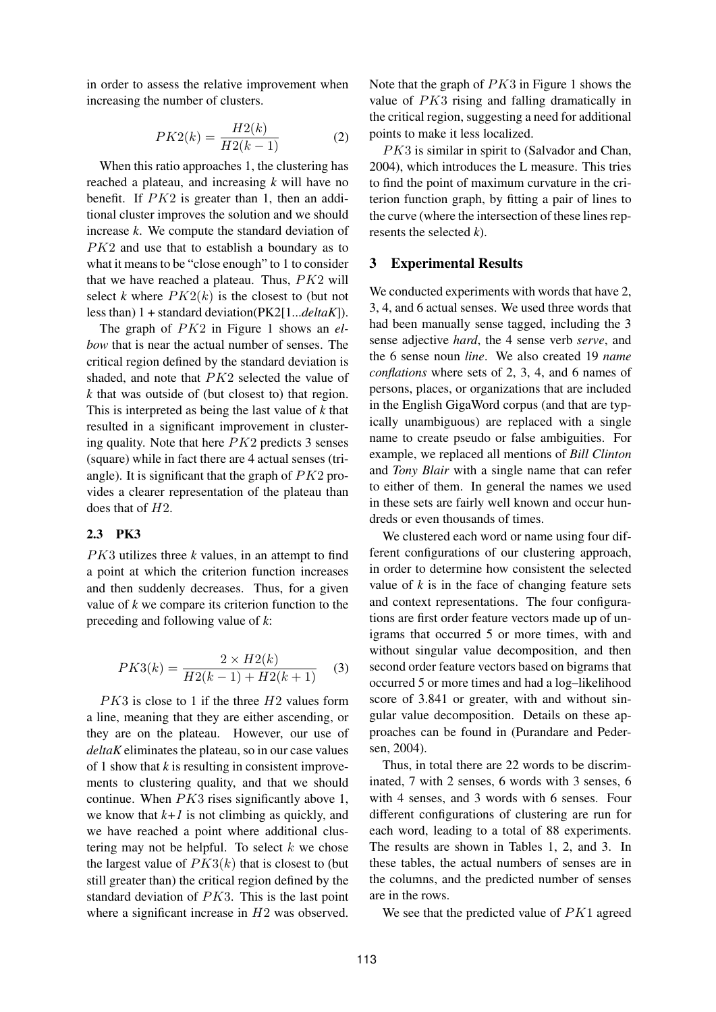in order to assess the relative improvement when increasing the number of clusters.

$$
PK2(k) = \frac{H2(k)}{H2(k-1)}
$$
 (2)

When this ratio approaches 1, the clustering has reached a plateau, and increasing *k* will have no benefit. If PK2 is greater than 1, then an additional cluster improves the solution and we should increase *k*. We compute the standard deviation of PK2 and use that to establish a boundary as to what it means to be "close enough" to 1 to consider that we have reached a plateau. Thus, PK2 will select *k* where  $PK2(k)$  is the closest to (but not less than) 1 + standard deviation(PK2[1...*deltaK*]).

The graph of PK2 in Figure 1 shows an *elbow* that is near the actual number of senses. The critical region defined by the standard deviation is shaded, and note that PK2 selected the value of *k* that was outside of (but closest to) that region. This is interpreted as being the last value of *k* that resulted in a significant improvement in clustering quality. Note that here  $PK2$  predicts 3 senses (square) while in fact there are 4 actual senses (triangle). It is significant that the graph of  $PK2$  provides a clearer representation of the plateau than does that of  $H2$ .

## **2.3 PK3**

PK3 utilizes three *k* values, in an attempt to find a point at which the criterion function increases and then suddenly decreases. Thus, for a given value of *k* we compare its criterion function to the preceding and following value of *k*:

$$
PK3(k) = \frac{2 \times H2(k)}{H2(k-1) + H2(k+1)}
$$
 (3)

 $PK3$  is close to 1 if the three  $H2$  values form a line, meaning that they are either ascending, or they are on the plateau. However, our use of *deltaK* eliminates the plateau, so in our case values of 1 show that *k* is resulting in consistent improvements to clustering quality, and that we should continue. When  $PK3$  rises significantly above 1, we know that  $k+1$  is not climbing as quickly, and we have reached a point where additional clustering may not be helpful. To select  $k$  we chose the largest value of  $PK3(k)$  that is closest to (but still greater than) the critical region defined by the standard deviation of PK3. This is the last point where a significant increase in  $H2$  was observed.

Note that the graph of  $PK3$  in Figure 1 shows the value of PK3 rising and falling dramatically in the critical region, suggesting a need for additional points to make it less localized.

PK3 is similar in spirit to (Salvador and Chan, 2004), which introduces the L measure. This tries to find the point of maximum curvature in the criterion function graph, by fitting a pair of lines to the curve (where the intersection of these lines represents the selected *k*).

#### **3 Experimental Results**

We conducted experiments with words that have 2, 3, 4, and 6 actual senses. We used three words that had been manually sense tagged, including the 3 sense adjective *hard*, the 4 sense verb *serve*, and the 6 sense noun *line*. We also created 19 *name conflations* where sets of 2, 3, 4, and 6 names of persons, places, or organizations that are included in the English GigaWord corpus (and that are typically unambiguous) are replaced with a single name to create pseudo or false ambiguities. For example, we replaced all mentions of *Bill Clinton* and *Tony Blair* with a single name that can refer to either of them. In general the names we used in these sets are fairly well known and occur hundreds or even thousands of times.

We clustered each word or name using four different configurations of our clustering approach, in order to determine how consistent the selected value of  $k$  is in the face of changing feature sets and context representations. The four configurations are first order feature vectors made up of unigrams that occurred 5 or more times, with and without singular value decomposition, and then second order feature vectors based on bigrams that occurred 5 or more times and had a log–likelihood score of 3.841 or greater, with and without singular value decomposition. Details on these approaches can be found in (Purandare and Pedersen, 2004).

Thus, in total there are 22 words to be discriminated, 7 with 2 senses, 6 words with 3 senses, 6 with 4 senses, and 3 words with 6 senses. Four different configurations of clustering are run for each word, leading to a total of 88 experiments. The results are shown in Tables 1, 2, and 3. In these tables, the actual numbers of senses are in the columns, and the predicted number of senses are in the rows.

We see that the predicted value of  $PK1$  agreed